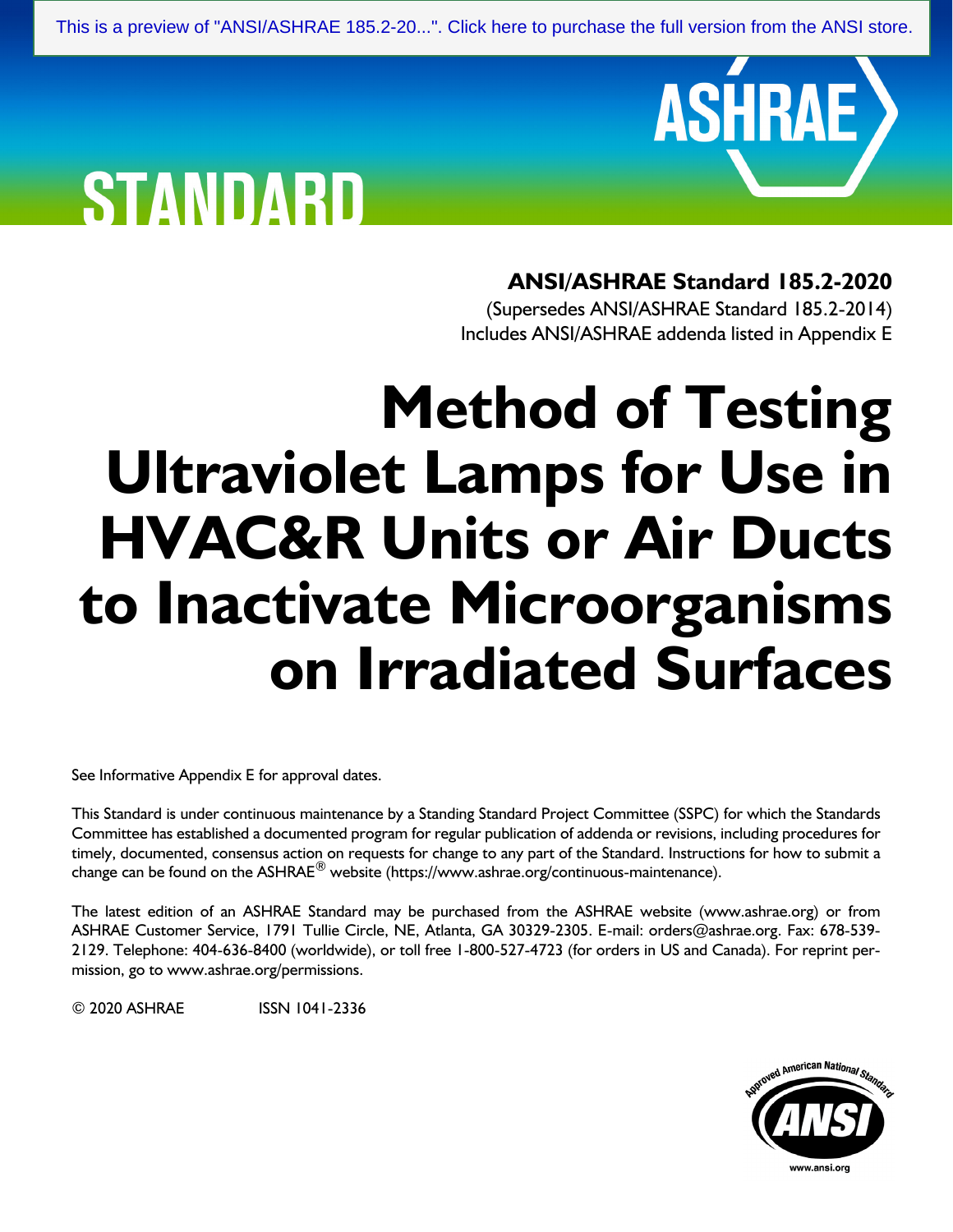$\alpha$  of "ANSI/ASHRAE 185 2-20  $\,$  " Click bere to purchase the full version from [This is a preview of "ANSI/ASHRAE 185.2-20...". Click here to purchase the full version from the ANSI store.](https://webstore.ansi.org/Standards/ASHRAE/ANSIASHRAE1852020-2426636?source=preview)



# **STANDARD**

**ANSI/ASHRAE Standard 185.2-2020**

(Supersedes ANSI/ASHRAE Standard 185.2-2014) Includes ANSI/ASHRAE addenda listed in Appendix E

# **Method of Testing Ultraviolet Lamps for Use in HVAC&R Units or Air Ducts to Inactivate Microorganisms on Irradiated Surfaces**

See Informative Appendix E for approval dates.

This Standard is under continuous maintenance by a Standing Standard Project Committee (SSPC) for which the Standards Committee has established a documented program for regular publication of addenda or revisions, including procedures for timely, documented, consensus action on requests for change to any part of the Standard. Instructions for how to submit a change can be found on the  $ASHRAE^{\circledR}$  website (https://www.ashrae.org/continuous-maintenance).

The latest edition of an ASHRAE Standard may be purchased from the ASHRAE website (www.ashrae.org) or from ASHRAE Customer Service, 1791 Tullie Circle, NE, Atlanta, GA 30329-2305. E-mail: orders@ashrae.org. Fax: 678-539- 2129. Telephone: 404-636-8400 (worldwide), or toll free 1-800-527-4723 (for orders in US and Canada). For reprint permission, go to www.ashrae.org/permissions.

© 2020 ASHRAE ISSN 1041-2336

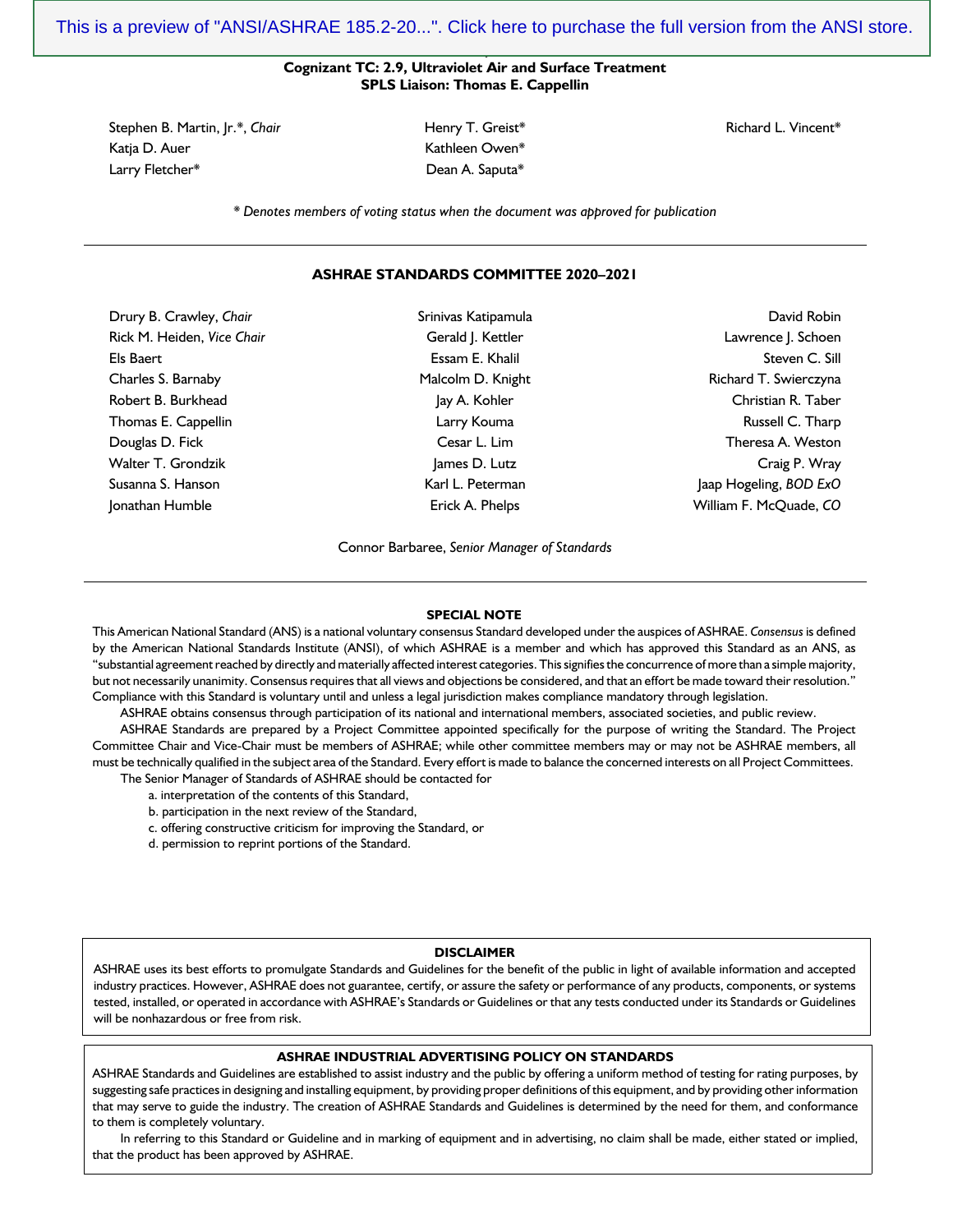## **ASHRAE Standard Project Committee 185 Cognizant TC: 2.9, Ultraviolet Air and Surface Treatment SPLS Liaison: Thomas E. Cappellin**

Stephen B. Martin,  $\vert r.*$ , *Chair* **Henry T. Greist**<sup>\*</sup> Richard L. Vincent<sup>\*</sup> Richard L. Vincent<sup>\*</sup> Katia D. Auer **Kathleen Owen\*** Larry Fletcher\* **Dean A. Saputa** Dean A. Saputa<sup>\*</sup>

*\* Denotes members of voting status when the document was approved for publication*

## **ASHRAE STANDARDS COMMITTEE 2020–2021**

Jonathan Humble Erick A. Phelps William F. McQuade, *CO*

Drury B. Crawley, *Chair* Srinivas Katipamula David Robin Rick M. Heiden, *Vice Chair* Gerald J. Kettler Lawrence J. Schoen Els Baert **Essam E. Khalil Steven C. Sill** Steven C. Sill Steven C. Sill Steven C. Sill Steven C. Sill Steven C. Sill Charles S. Barnaby **Malcolm D. Knight Charles S. Barnaby** Richard T. Swierczyna Robert B. Burkhead **A. Kohler** Jay A. Kohler Christian R. Taber Christian R. Taber Thomas E. Cappellin **E. A. Cappellin** Larry Kouma Larry Kouma Russell C. Tharp Douglas D. Fick Cesar L. Lim Theresa A. Weston Walter T. Grondzik **Values 2. September 2. James D. Lutz** Craig P. Wray Craig P. Wray Susanna S. Hanson **March 2018 Karl L. Peterman** Jaap Hogeling, *BOD ExO Exo* 

Connor Barbaree, *Senior Manager of Standards*

#### **SPECIAL NOTE**

This American National Standard (ANS) is a national voluntary consensus Standard developed under the auspices of ASHRAE. *Consensus* is defined by the American National Standards Institute (ANSI), of which ASHRAE is a member and which has approved this Standard as an ANS, as "substantial agreement reached by directly and materially affected interest categories. This signifies the concurrence of more than a simple majority, but not necessarily unanimity. Consensus requires that all views and objections be considered, and that an effort be made toward their resolution." Compliance with this Standard is voluntary until and unless a legal jurisdiction makes compliance mandatory through legislation.

ASHRAE obtains consensus through participation of its national and international members, associated societies, and public review.

ASHRAE Standards are prepared by a Project Committee appointed specifically for the purpose of writing the Standard. The Project Committee Chair and Vice-Chair must be members of ASHRAE; while other committee members may or may not be ASHRAE members, all must be technically qualified in the subject area of the Standard. Every effort is made to balance the concerned interests on all Project Committees. The Senior Manager of Standards of ASHRAE should be contacted for

- a. interpretation of the contents of this Standard,
- b. participation in the next review of the Standard,
- c. offering constructive criticism for improving the Standard, or
- d. permission to reprint portions of the Standard.

#### **DISCLAIMER**

ASHRAE uses its best efforts to promulgate Standards and Guidelines for the benefit of the public in light of available information and accepted industry practices. However, ASHRAE does not guarantee, certify, or assure the safety or performance of any products, components, or systems tested, installed, or operated in accordance with ASHRAE's Standards or Guidelines or that any tests conducted under its Standards or Guidelines will be nonhazardous or free from risk.

#### **ASHRAE INDUSTRIAL ADVERTISING POLICY ON STANDARDS**

ASHRAE Standards and Guidelines are established to assist industry and the public by offering a uniform method of testing for rating purposes, by suggesting safe practices in designing and installing equipment, by providing proper definitions of this equipment, and by providing other information that may serve to guide the industry. The creation of ASHRAE Standards and Guidelines is determined by the need for them, and conformance to them is completely voluntary.

In referring to this Standard or Guideline and in marking of equipment and in advertising, no claim shall be made, either stated or implied, that the product has been approved by ASHRAE.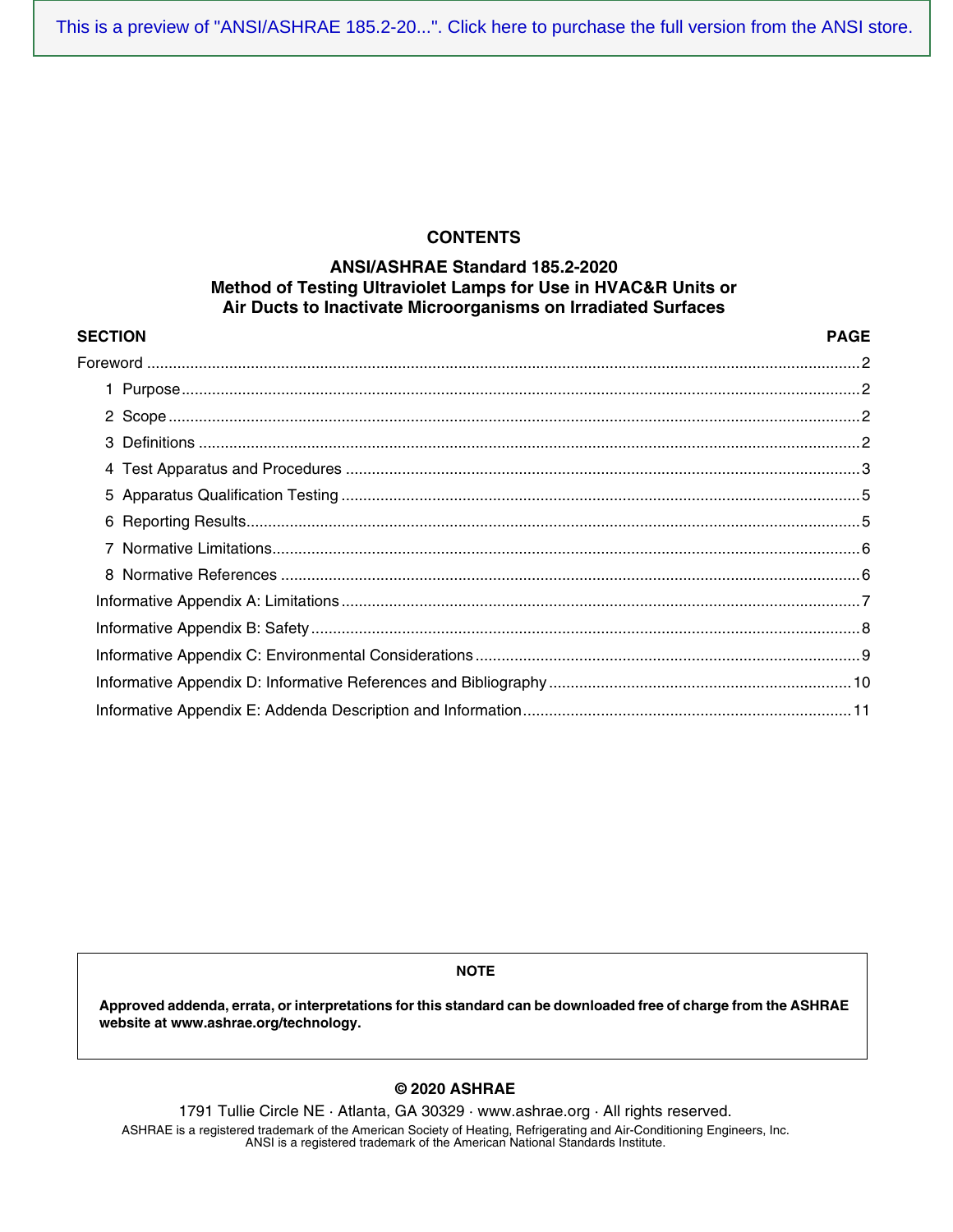$\alpha$  of "ANSI/ASHRAE 185 2-20  $\,$  " Click bere to purchase the full version from [This is a preview of "ANSI/ASHRAE 185.2-20...". Click here to purchase the full version from the ANSI store.](https://webstore.ansi.org/Standards/ASHRAE/ANSIASHRAE1852020-2426636?source=preview)

# **CONTENTS**

# **ANSI/ASHRAE Standard 185.2-2020 Method of Testing Ultraviolet Lamps for Use in HVAC&R Units or Air Ducts to Inactivate Microorganisms on Irradiated Surfaces**

| <b>SECTION</b> | <b>PAGE</b> |
|----------------|-------------|
|                |             |
|                |             |
|                |             |
|                |             |
|                |             |
|                |             |
|                |             |
|                |             |
|                |             |
|                |             |
|                |             |
|                |             |
|                |             |
|                |             |
|                |             |

**NOTE**

**Approved addenda, errata, or interpretations for this standard can be downloaded free of charge from the ASHRAE website at www.ashrae.org/technology.**

# **© 2020 ASHRAE**

1791 Tullie Circle NE · Atlanta, GA 30329 · www.ashrae.org · All rights reserved. ASHRAE is a registered trademark of the American Society of Heating, Refrigerating and Air-Conditioning Engineers, Inc. ANSI is a registered trademark of the American National Standards Institute.